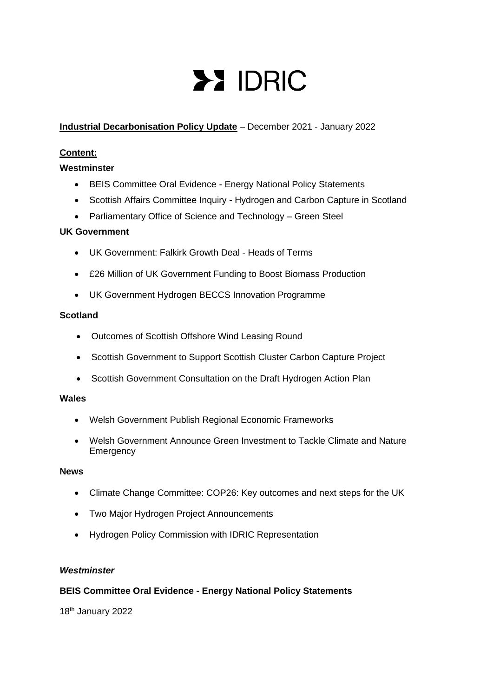# **>> IDRIC**

# **Industrial Decarbonisation Policy Update** – December 2021 - January 2022

# **Content:**

# **Westminster**

- BEIS Committee Oral Evidence Energy National Policy Statements
- Scottish Affairs Committee Inquiry Hydrogen and Carbon Capture in Scotland
- Parliamentary Office of Science and Technology Green Steel

# **UK Government**

- UK Government: Falkirk Growth Deal Heads of Terms
- £26 Million of UK Government Funding to Boost Biomass Production
- UK Government Hydrogen BECCS Innovation Programme

# **Scotland**

- Outcomes of Scottish Offshore Wind Leasing Round
- Scottish Government to Support Scottish Cluster Carbon Capture Project
- Scottish Government Consultation on the Draft Hydrogen Action Plan

# **Wales**

- Welsh Government Publish Regional Economic Frameworks
- Welsh Government Announce Green Investment to Tackle Climate and Nature Emergency

# **News**

- Climate Change Committee: COP26: Key outcomes and next steps for the UK
- Two Major Hydrogen Project Announcements
- Hydrogen Policy Commission with IDRIC Representation

# *Westminster*

# **BEIS Committee Oral Evidence - Energy National Policy Statements**

18th January 2022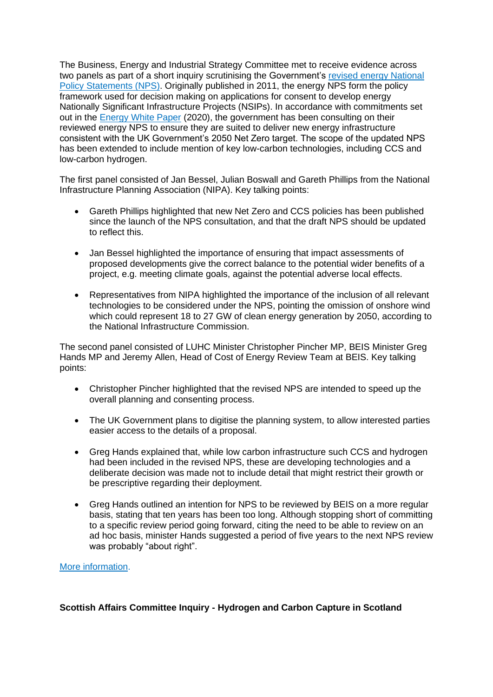The Business, Energy and Industrial Strategy Committee met to receive evidence across two panels as part of a short inquiry scrutinising the Government's [revised energy National](https://assets.publishing.service.gov.uk/government/uploads/system/uploads/attachment_data/file/1015302/nps-consultation-document.pdf)  [Policy Statements \(NPS\).](https://assets.publishing.service.gov.uk/government/uploads/system/uploads/attachment_data/file/1015302/nps-consultation-document.pdf) Originally published in 2011, the energy NPS form the policy framework used for decision making on applications for consent to develop energy Nationally Significant Infrastructure Projects (NSIPs). In accordance with commitments set out in the [Energy White Paper](https://assets.publishing.service.gov.uk/government/uploads/system/uploads/attachment_data/file/945899/201216_BEIS_EWP_Command_Paper_Accessible.pdf) (2020), the government has been consulting on their reviewed energy NPS to ensure they are suited to deliver new energy infrastructure consistent with the UK Government's 2050 Net Zero target. The scope of the updated NPS has been extended to include mention of key low-carbon technologies, including CCS and low-carbon hydrogen.

The first panel consisted of Jan Bessel, Julian Boswall and Gareth Phillips from the National Infrastructure Planning Association (NIPA). Key talking points:

- Gareth Phillips highlighted that new Net Zero and CCS policies has been published since the launch of the NPS consultation, and that the draft NPS should be updated to reflect this.
- Jan Bessel highlighted the importance of ensuring that impact assessments of proposed developments give the correct balance to the potential wider benefits of a project, e.g. meeting climate goals, against the potential adverse local effects.
- Representatives from NIPA highlighted the importance of the inclusion of all relevant technologies to be considered under the NPS, pointing the omission of onshore wind which could represent 18 to 27 GW of clean energy generation by 2050, according to the National Infrastructure Commission.

The second panel consisted of LUHC Minister Christopher Pincher MP, BEIS Minister Greg Hands MP and Jeremy Allen, Head of Cost of Energy Review Team at BEIS. Key talking points:

- Christopher Pincher highlighted that the revised NPS are intended to speed up the overall planning and consenting process.
- The UK Government plans to digitise the planning system, to allow interested parties easier access to the details of a proposal.
- Greg Hands explained that, while low carbon infrastructure such CCS and hydrogen had been included in the revised NPS, these are developing technologies and a deliberate decision was made not to include detail that might restrict their growth or be prescriptive regarding their deployment.
- Greg Hands outlined an intention for NPS to be reviewed by BEIS on a more regular basis, stating that ten years has been too long. Although stopping short of committing to a specific review period going forward, citing the need to be able to review on an ad hoc basis, minister Hands suggested a period of five years to the next NPS review was probably "about right".

# [More information.](https://committees.parliament.uk/oralevidence/3303/pdf/)

# **Scottish Affairs Committee Inquiry - Hydrogen and Carbon Capture in Scotland**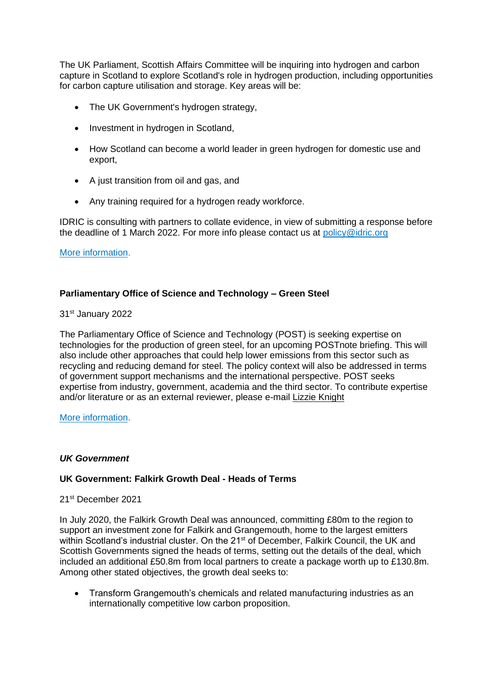The UK Parliament, Scottish Affairs Committee will be inquiring into hydrogen and carbon capture in Scotland to explore Scotland's role in hydrogen production, including opportunities for carbon capture utilisation and storage. Key areas will be:

- The UK Government's hydrogen strategy,
- Investment in hydrogen in Scotland.
- How Scotland can become a world leader in green hydrogen for domestic use and export,
- A just transition from oil and gas, and
- Any training required for a hydrogen ready workforce.

IDRIC is consulting with partners to collate evidence, in view of submitting a response before the deadline of 1 March 2022. For more info please contact us at [policy@idric.org](mailto:policy@idric.org)

## [More information.](https://committees.parliament.uk/work/1723/hydrogen-and-carbon-capture-in-Scotland)

# **Parliamentary Office of Science and Technology – Green Steel**

## 31st January 2022

The Parliamentary Office of Science and Technology (POST) is seeking expertise on technologies for the production of green steel, for an upcoming POSTnote briefing. This will also include other approaches that could help lower emissions from this sector such as recycling and reducing demand for steel. The policy context will also be addressed in terms of government support mechanisms and the international perspective. POST seeks expertise from industry, government, academia and the third sector. To contribute expertise and/or literature or as an external reviewer, please e-mail [Lizzie Knight](mailto:knightl@parliament.uk)

#### [More information.](https://post.parliament.uk/approved-work-green-steel/?utm_source=POST+alerts&utm_campaign=4e5411fea1-EMAIL_CAMPAIGN_2022_01_29_08_00&utm_medium=email&utm_term=0_bf17dda729-4e5411fea1-104155006&mc_cid=4e5411fea1&mc_eid=34e7360b14)

# *UK Government*

# **UK Government: Falkirk Growth Deal - Heads of Terms**

#### 21st December 2021

In July 2020, the Falkirk Growth Deal was announced, committing £80m to the region to support an investment zone for Falkirk and Grangemouth, home to the largest emitters within Scotland's industrial cluster. On the 21<sup>st</sup> of December, Falkirk Council, the UK and Scottish Governments signed the heads of terms, setting out the details of the deal, which included an additional £50.8m from local partners to create a package worth up to £130.8m. Among other stated objectives, the growth deal seeks to:

• Transform Grangemouth's chemicals and related manufacturing industries as an internationally competitive low carbon proposition.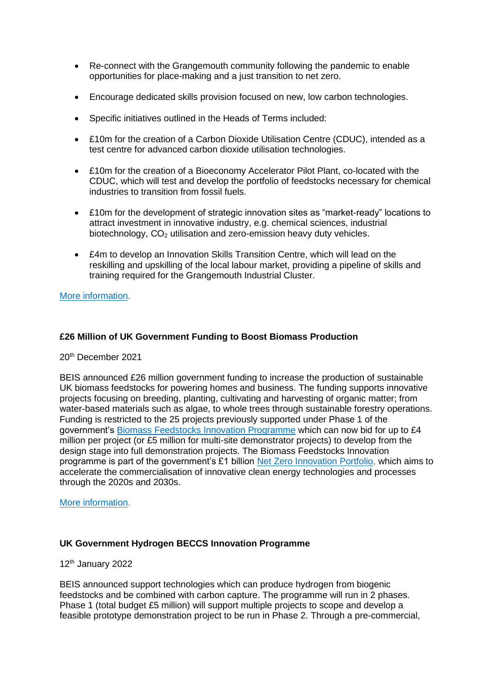- Re-connect with the Grangemouth community following the pandemic to enable opportunities for place-making and a just transition to net zero.
- Encourage dedicated skills provision focused on new, low carbon technologies.
- Specific initiatives outlined in the Heads of Terms included:
- £10m for the creation of a Carbon Dioxide Utilisation Centre (CDUC), intended as a test centre for advanced carbon dioxide utilisation technologies.
- £10m for the creation of a Bioeconomy Accelerator Pilot Plant, co-located with the CDUC, which will test and develop the portfolio of feedstocks necessary for chemical industries to transition from fossil fuels.
- £10m for the development of strategic innovation sites as "market-ready" locations to attract investment in innovative industry, e.g. chemical sciences, industrial biotechnology,  $CO<sub>2</sub>$  utilisation and zero-emission heavy duty vehicles.
- £4m to develop an Innovation Skills Transition Centre, which will lead on the reskilling and upskilling of the local labour market, providing a pipeline of skills and training required for the Grangemouth Industrial Cluster.

[More information.](https://assets.publishing.service.gov.uk/government/uploads/system/uploads/attachment_data/file/1042665/Falkirk_Growth_Deal_-_Heads_of_Terms.pdf)

# **£26 Million of UK Government Funding to Boost Biomass Production**

20th December 2021

BEIS announced £26 million government funding to increase the production of sustainable UK biomass feedstocks for powering homes and business. The funding supports innovative projects focusing on breeding, planting, cultivating and harvesting of organic matter; from water-based materials such as algae, to whole trees through sustainable forestry operations. Funding is restricted to the 25 projects previously supported under Phase 1 of the government's [Biomass Feedstocks Innovation Programme](https://www.gov.uk/government/publications/apply-for-the-biomass-feedstocks-innovation-programme/biomass-feedstocks-innovation-programme-successful-projects) which can now bid for up to £4 million per project (or £5 million for multi-site demonstrator projects) to develop from the design stage into full demonstration projects. The Biomass Feedstocks Innovation programme is part of the government's £1 billion [Net Zero Innovation Portfolio,](https://www.gov.uk/government/collections/net-zero-innovation-portfolio) which aims to accelerate the commercialisation of innovative clean energy technologies and processes through the 2020s and 2030s.

[More information.](https://www.gov.uk/government/news/26-million-government-funding-to-boost-biomass-in-uk)

# **UK Government Hydrogen BECCS Innovation Programme**

12th January 2022

BEIS announced support technologies which can produce hydrogen from biogenic feedstocks and be combined with carbon capture. The programme will run in 2 phases. Phase 1 (total budget £5 million) will support multiple projects to scope and develop a feasible prototype demonstration project to be run in Phase 2. Through a pre-commercial,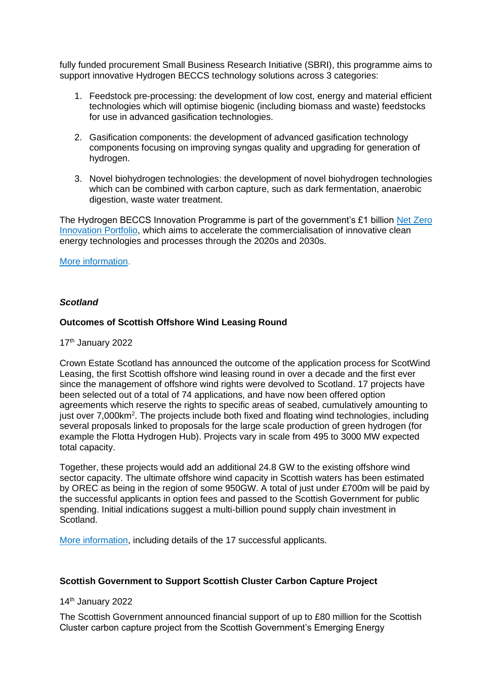fully funded procurement Small Business Research Initiative (SBRI), this programme aims to support innovative Hydrogen BECCS technology solutions across 3 categories:

- 1. Feedstock pre-processing: the development of low cost, energy and material efficient technologies which will optimise biogenic (including biomass and waste) feedstocks for use in advanced gasification technologies.
- 2. Gasification components: the development of advanced gasification technology components focusing on improving syngas quality and upgrading for generation of hydrogen.
- 3. Novel biohydrogen technologies: the development of novel biohydrogen technologies which can be combined with carbon capture, such as dark fermentation, anaerobic digestion, waste water treatment.

The Hydrogen BECCS Innovation Programme is part of the government's £1 billion [Net Zero](https://www.gov.uk/government/collections/net-zero-innovation-portfolio)  [Innovation Portfolio,](https://www.gov.uk/government/collections/net-zero-innovation-portfolio) which aims to accelerate the commercialisation of innovative clean energy technologies and processes through the 2020s and 2030s.

#### [More information.](https://www.gov.uk/government/publications/hydrogen-beccs-innovation-programme)

## *Scotland*

## **Outcomes of Scottish Offshore Wind Leasing Round**

# 17<sup>th</sup> January 2022

Crown Estate Scotland has announced the outcome of the application process for ScotWind Leasing, the first Scottish offshore wind leasing round in over a decade and the first ever since the management of offshore wind rights were devolved to Scotland. 17 projects have been selected out of a total of 74 applications, and have now been offered option agreements which reserve the rights to specific areas of seabed, cumulatively amounting to just over 7,000km<sup>2</sup>. The projects include both fixed and floating wind technologies, including several proposals linked to proposals for the large scale production of green hydrogen (for example the Flotta Hydrogen Hub). Projects vary in scale from 495 to 3000 MW expected total capacity.

Together, these projects would add an additional 24.8 GW to the existing offshore wind sector capacity. The ultimate offshore wind capacity in Scottish waters has been estimated by OREC as being in the region of some 950GW. A total of just under £700m will be paid by the successful applicants in option fees and passed to the Scottish Government for public spending. Initial indications suggest a multi-billion pound supply chain investment in Scotland.

[More information,](https://www.crownestatescotland.com/news/scotwind-offshore-wind-leasing-delivers-major-boost-to-scotlands-net-zero-aspirations) including details of the 17 successful applicants.

# **Scottish Government to Support Scottish Cluster Carbon Capture Project**

14th January 2022

The Scottish Government announced financial support of up to £80 million for the Scottish Cluster carbon capture project from the Scottish Government's Emerging Energy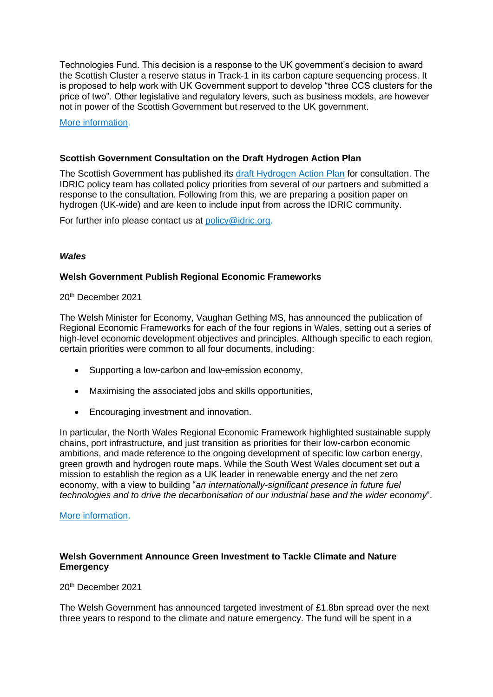Technologies Fund. This decision is a response to the UK government's decision to award the Scottish Cluster a reserve status in Track-1 in its carbon capture sequencing process. It is proposed to help work with UK Government support to develop "three CCS clusters for the price of two". Other legislative and regulatory levers, such as business models, are however not in power of the Scottish Government but reserved to the UK government.

[More information.](https://www.gov.scot/news/scottish-cluster-support/)

#### **Scottish Government Consultation on the Draft Hydrogen Action Plan**

The Scottish Government has published its [draft Hydrogen Action Plan](https://www.gov.scot/news/making-scotland-a-leading-hydrogen-producer/) for consultation. The IDRIC policy team has collated policy priorities from several of our partners and submitted a response to the consultation. Following from this, we are preparing a position paper on hydrogen (UK-wide) and are keen to include input from across the IDRIC community.

For further info please contact us at [policy@idric.org.](mailto:policy@idric.org)

#### *Wales*

#### **Welsh Government Publish Regional Economic Frameworks**

#### 20th December 2021

The Welsh Minister for Economy, Vaughan Gething MS, has announced the publication of Regional Economic Frameworks for each of the four regions in Wales, setting out a series of high-level economic development objectives and principles. Although specific to each region, certain priorities were common to all four documents, including:

- Supporting a low-carbon and low-emission economy,
- Maximising the associated jobs and skills opportunities,
- Encouraging investment and innovation.

In particular, the North Wales Regional Economic Framework highlighted sustainable supply chains, port infrastructure, and just transition as priorities for their low-carbon economic ambitions, and made reference to the ongoing development of specific low carbon energy, green growth and hydrogen route maps. While the South West Wales document set out a mission to establish the region as a UK leader in renewable energy and the net zero economy, with a view to building "*an internationally-significant presence in future fuel technologies and to drive the decarbonisation of our industrial base and the wider economy*".

#### [More information.](https://gov.wales/regional-economic-frameworks)

# **Welsh Government Announce Green Investment to Tackle Climate and Nature Emergency**

20th December 2021

The Welsh Government has announced targeted investment of £1.8bn spread over the next three years to respond to the climate and nature emergency. The fund will be spent in a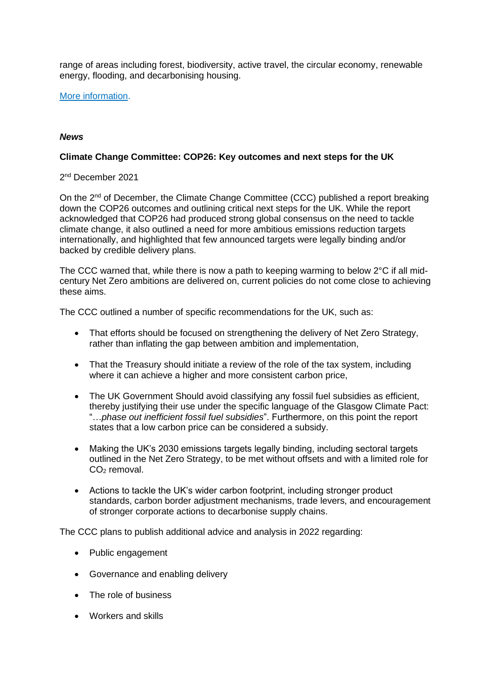range of areas including forest, biodiversity, active travel, the circular economy, renewable energy, flooding, and decarbonising housing.

[More information.](https://gov.wales/written-statement-regional-economic-frameworks-publication)

# *News*

## **Climate Change Committee: COP26: Key outcomes and next steps for the UK**

2 nd December 2021

On the  $2^{nd}$  of December, the Climate Change Committee (CCC) published a report breaking down the COP26 outcomes and outlining critical next steps for the UK. While the report acknowledged that COP26 had produced strong global consensus on the need to tackle climate change, it also outlined a need for more ambitious emissions reduction targets internationally, and highlighted that few announced targets were legally binding and/or backed by credible delivery plans.

The CCC warned that, while there is now a path to keeping warming to below 2°C if all midcentury Net Zero ambitions are delivered on, current policies do not come close to achieving these aims.

The CCC outlined a number of specific recommendations for the UK, such as:

- That efforts should be focused on strengthening the delivery of Net Zero Strategy, rather than inflating the gap between ambition and implementation,
- That the Treasury should initiate a review of the role of the tax system, including where it can achieve a higher and more consistent carbon price,
- The UK Government Should avoid classifying any fossil fuel subsidies as efficient. thereby justifying their use under the specific language of the Glasgow Climate Pact: "…*phase out inefficient fossil fuel subsidies*". Furthermore, on this point the report states that a low carbon price can be considered a subsidy.
- Making the UK's 2030 emissions targets legally binding, including sectoral targets outlined in the Net Zero Strategy, to be met without offsets and with a limited role for  $CO<sub>2</sub>$  removal.
- Actions to tackle the UK's wider carbon footprint, including stronger product standards, carbon border adjustment mechanisms, trade levers, and encouragement of stronger corporate actions to decarbonise supply chains.

The CCC plans to publish additional advice and analysis in 2022 regarding:

- Public engagement
- Governance and enabling delivery
- The role of business
- Workers and skills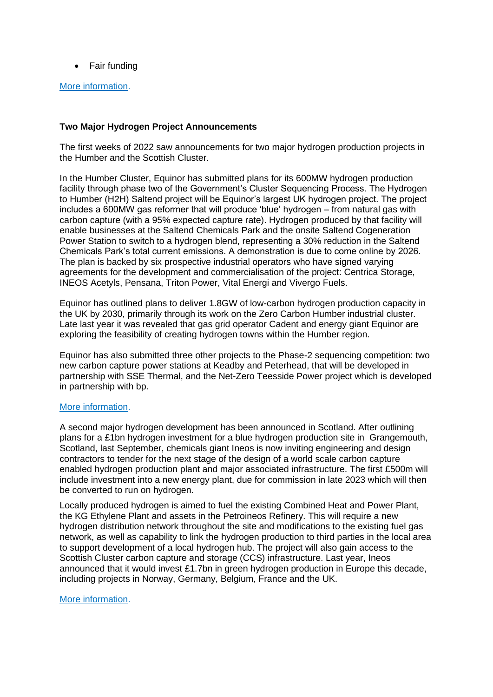• Fair funding

#### [More information.](https://www.theccc.org.uk/2021/12/02/cop26-must-launch-a-reinvigorated-uk-effort-on-climate-change/)

## **Two Major Hydrogen Project Announcements**

The first weeks of 2022 saw announcements for two major hydrogen production projects in the Humber and the Scottish Cluster.

In the Humber Cluster, Equinor has submitted plans for its 600MW hydrogen production facility through phase two of the Government's Cluster Sequencing Process. The Hydrogen to Humber (H2H) Saltend project will be Equinor's largest UK hydrogen project. The project includes a 600MW gas reformer that will produce 'blue' hydrogen – from natural gas with carbon capture (with a 95% expected capture rate). Hydrogen produced by that facility will enable businesses at the Saltend Chemicals Park and the onsite Saltend Cogeneration Power Station to switch to a hydrogen blend, representing a 30% reduction in the Saltend Chemicals Park's total current emissions. A demonstration is due to come online by 2026. The plan is backed by six prospective industrial operators who have signed varying agreements for the development and commercialisation of the project: Centrica Storage, INEOS Acetyls, Pensana, Triton Power, Vital Energi and Vivergo Fuels.

Equinor has outlined plans to deliver 1.8GW of low-carbon hydrogen production capacity in the UK by 2030, primarily through its work on the Zero Carbon Humber industrial cluster. Late last year it was revealed that gas grid operator Cadent and energy giant Equinor are exploring the feasibility of creating hydrogen towns within the Humber region.

Equinor has also submitted three other projects to the Phase-2 sequencing competition: two new carbon capture power stations at Keadby and Peterhead, that will be developed in partnership with SSE Thermal, and the Net-Zero Teesside Power project which is developed in partnership with bp.

#### [More information.](https://www.edie.net/news/6/Equinor-submits-plans-for-landmark-hydrogen-facility-in-Hull/?utm_source=dailynewsletter,%20AdestraCampaign&utm_medium=email,%20Email&utm_content=news&utm_campaign=dailynewsletter,%20edie.net%20daily%20newsletter%20ediedaily-24-1-2022)

A second major hydrogen development has been announced in Scotland. After outlining plans for a £1bn hydrogen investment for a blue hydrogen production site in Grangemouth, Scotland, last September, chemicals giant Ineos is now inviting engineering and design contractors to tender for the next stage of the design of a world scale carbon capture enabled hydrogen production plant and major associated infrastructure. The first £500m will include investment into a new energy plant, due for commission in late 2023 which will then be converted to run on hydrogen.

Locally produced hydrogen is aimed to fuel the existing Combined Heat and Power Plant, the KG Ethylene Plant and assets in the Petroineos Refinery. This will require a new hydrogen distribution network throughout the site and modifications to the existing fuel gas network, as well as capability to link the hydrogen production to third parties in the local area to support development of a local hydrogen hub. The project will also gain access to the Scottish Cluster carbon capture and storage (CCS) infrastructure. Last year, Ineos announced that it would invest £1.7bn in green hydrogen production in Europe this decade, including projects in Norway, Germany, Belgium, France and the UK.

#### [More information.](https://www.ineos.com/news/shared-news/ineos-at-grangemouth-announces-plans-to-construct-a-low-carbon-hydrogen-manufacturing-plant/)